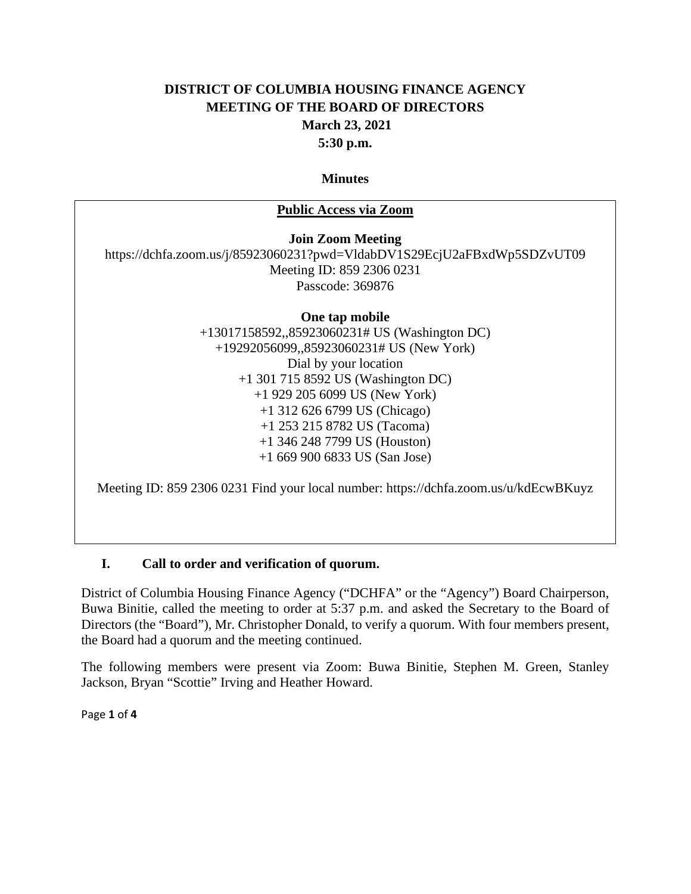## **DISTRICT OF COLUMBIA HOUSING FINANCE AGENCY MEETING OF THE BOARD OF DIRECTORS March 23, 2021 5:30 p.m.**

#### **Minutes**

#### **Public Access via Zoom**

**Join Zoom Meeting**

https://dchfa.zoom.us/j/85923060231?pwd=VldabDV1S29EcjU2aFBxdWp5SDZvUT09 Meeting ID: 859 2306 0231 Passcode: 369876

> **One tap mobile**  +13017158592,,85923060231# US (Washington DC) +19292056099,,85923060231# US (New York) Dial by your location +1 301 715 8592 US (Washington DC) +1 929 205 6099 US (New York) +1 312 626 6799 US (Chicago) +1 253 215 8782 US (Tacoma) +1 346 248 7799 US (Houston) +1 669 900 6833 US (San Jose)

Meeting ID: 859 2306 0231 Find your local number: https://dchfa.zoom.us/u/kdEcwBKuyz

#### **I. Call to order and verification of quorum.**

District of Columbia Housing Finance Agency ("DCHFA" or the "Agency") Board Chairperson, Buwa Binitie, called the meeting to order at 5:37 p.m. and asked the Secretary to the Board of Directors (the "Board"), Mr. Christopher Donald, to verify a quorum. With four members present, the Board had a quorum and the meeting continued.

The following members were present via Zoom: Buwa Binitie, Stephen M. Green, Stanley Jackson, Bryan "Scottie" Irving and Heather Howard.

Page **1** of **4**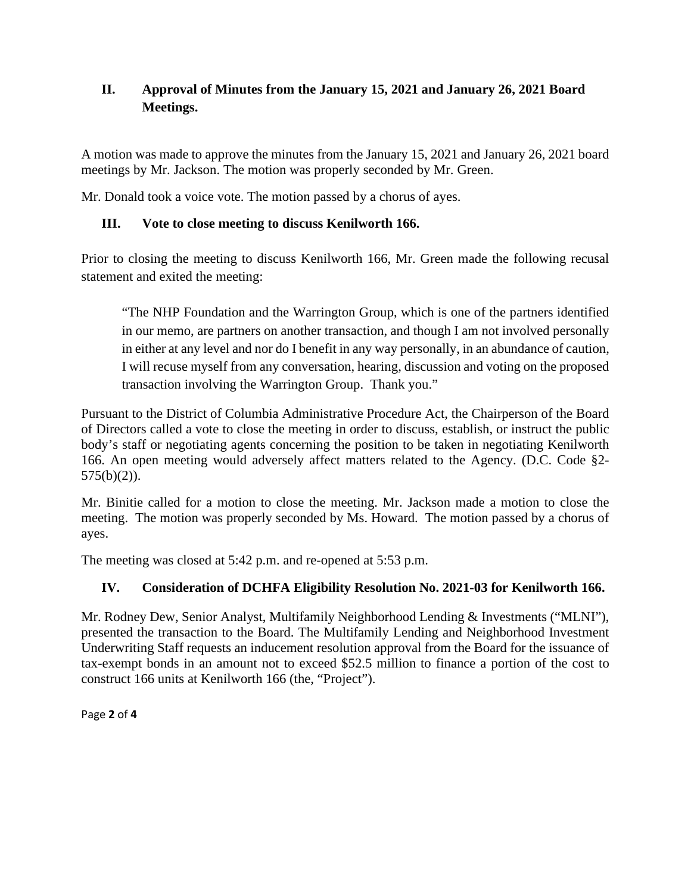# **II. Approval of Minutes from the January 15, 2021 and January 26, 2021 Board Meetings.**

A motion was made to approve the minutes from the January 15, 2021 and January 26, 2021 board meetings by Mr. Jackson. The motion was properly seconded by Mr. Green.

Mr. Donald took a voice vote. The motion passed by a chorus of ayes.

## **III. Vote to close meeting to discuss Kenilworth 166.**

Prior to closing the meeting to discuss Kenilworth 166, Mr. Green made the following recusal statement and exited the meeting:

"The NHP Foundation and the Warrington Group, which is one of the partners identified in our memo, are partners on another transaction, and though I am not involved personally in either at any level and nor do I benefit in any way personally, in an abundance of caution, I will recuse myself from any conversation, hearing, discussion and voting on the proposed transaction involving the Warrington Group. Thank you."

Pursuant to the District of Columbia Administrative Procedure Act, the Chairperson of the Board of Directors called a vote to close the meeting in order to discuss, establish, or instruct the public body's staff or negotiating agents concerning the position to be taken in negotiating Kenilworth 166. An open meeting would adversely affect matters related to the Agency. (D.C. Code §2- 575(b)(2)).

Mr. Binitie called for a motion to close the meeting. Mr. Jackson made a motion to close the meeting. The motion was properly seconded by Ms. Howard. The motion passed by a chorus of ayes.

The meeting was closed at 5:42 p.m. and re-opened at 5:53 p.m.

# **IV. Consideration of DCHFA Eligibility Resolution No. 2021-03 for Kenilworth 166.**

Mr. Rodney Dew, Senior Analyst, Multifamily Neighborhood Lending & Investments ("MLNI"), presented the transaction to the Board. The Multifamily Lending and Neighborhood Investment Underwriting Staff requests an inducement resolution approval from the Board for the issuance of tax-exempt bonds in an amount not to exceed \$52.5 million to finance a portion of the cost to construct 166 units at Kenilworth 166 (the, "Project").

Page **2** of **4**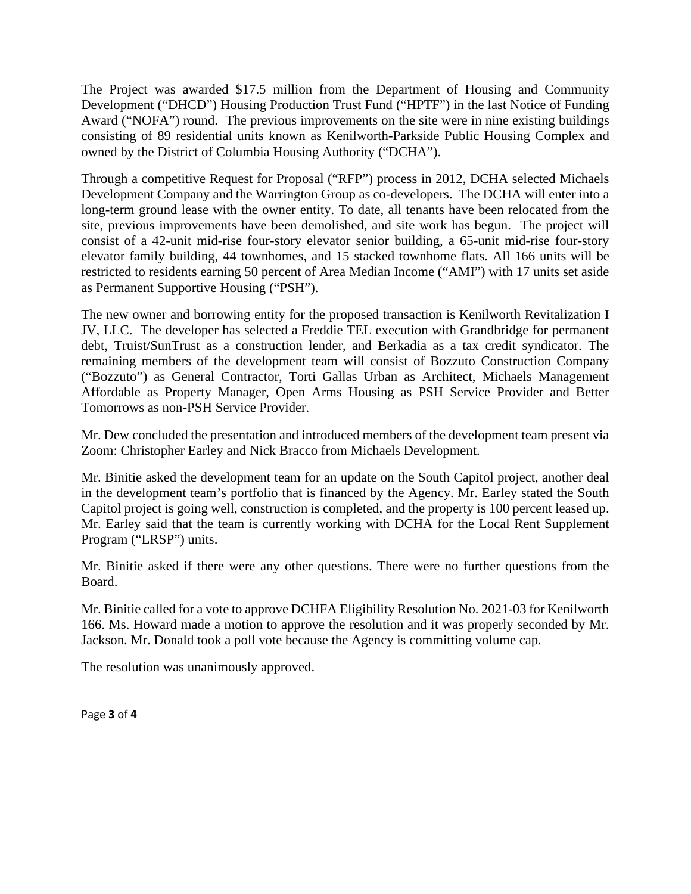The Project was awarded \$17.5 million from the Department of Housing and Community Development ("DHCD") Housing Production Trust Fund ("HPTF") in the last Notice of Funding Award ("NOFA") round. The previous improvements on the site were in nine existing buildings consisting of 89 residential units known as Kenilworth-Parkside Public Housing Complex and owned by the District of Columbia Housing Authority ("DCHA").

Through a competitive Request for Proposal ("RFP") process in 2012, DCHA selected Michaels Development Company and the Warrington Group as co-developers. The DCHA will enter into a long-term ground lease with the owner entity. To date, all tenants have been relocated from the site, previous improvements have been demolished, and site work has begun. The project will consist of a 42-unit mid-rise four-story elevator senior building, a 65-unit mid-rise four-story elevator family building, 44 townhomes, and 15 stacked townhome flats. All 166 units will be restricted to residents earning 50 percent of Area Median Income ("AMI") with 17 units set aside as Permanent Supportive Housing ("PSH").

The new owner and borrowing entity for the proposed transaction is Kenilworth Revitalization I JV, LLC. The developer has selected a Freddie TEL execution with Grandbridge for permanent debt, Truist/SunTrust as a construction lender, and Berkadia as a tax credit syndicator. The remaining members of the development team will consist of Bozzuto Construction Company ("Bozzuto") as General Contractor, Torti Gallas Urban as Architect, Michaels Management Affordable as Property Manager, Open Arms Housing as PSH Service Provider and Better Tomorrows as non-PSH Service Provider.

Mr. Dew concluded the presentation and introduced members of the development team present via Zoom: Christopher Earley and Nick Bracco from Michaels Development.

Mr. Binitie asked the development team for an update on the South Capitol project, another deal in the development team's portfolio that is financed by the Agency. Mr. Earley stated the South Capitol project is going well, construction is completed, and the property is 100 percent leased up. Mr. Earley said that the team is currently working with DCHA for the Local Rent Supplement Program ("LRSP") units.

Mr. Binitie asked if there were any other questions. There were no further questions from the Board.

Mr. Binitie called for a vote to approve DCHFA Eligibility Resolution No. 2021-03 for Kenilworth 166. Ms. Howard made a motion to approve the resolution and it was properly seconded by Mr. Jackson. Mr. Donald took a poll vote because the Agency is committing volume cap.

The resolution was unanimously approved.

Page **3** of **4**